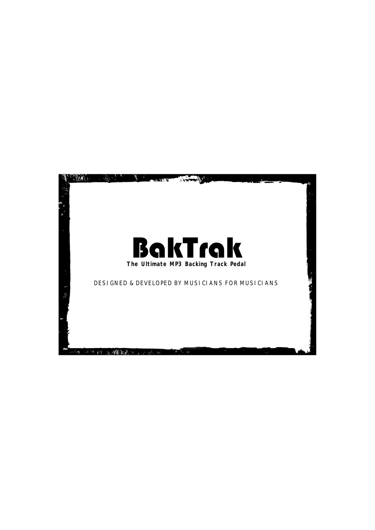# BakTrak **The Ultimate MP3 Backing Track Pedal**

DESIGNED & DEVELOPED BY MUSICIANS FOR MUSICIANS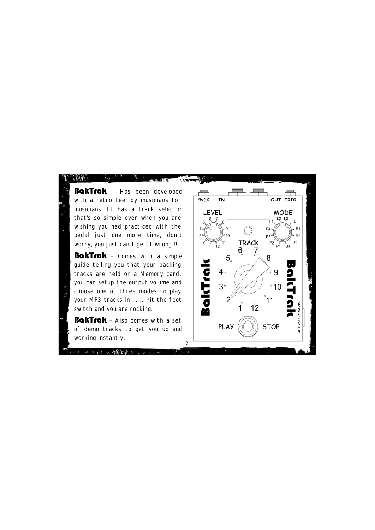BakTrak - Has been developed with a retro feel by musicians for musicians. It has a track selector that's so simple even when you are wishing you had practiced with the pedal just one more time, don't worry, you just can't get it wrong !!

BakTrak - Comes with a simple guide telling you that your backing tracks are held on a Memory card, you can setup the output volume and choose one of three modes to play your MP3 tracks in .……. hit the foot switch and you are rocking.

BakTrak - Also comes with a set of demo tracks to get you up and working instantly.

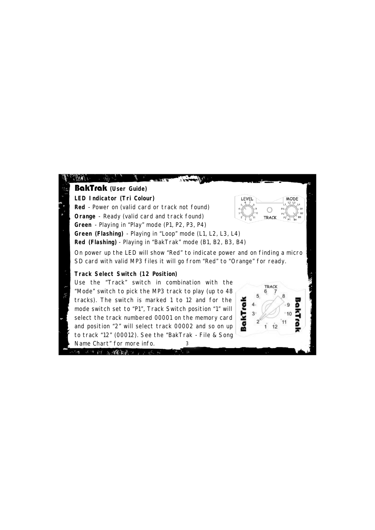# **LED Indicator (Tri Colour) Red** - Power on (valid card or track not found) **Orange** - Ready (valid card and track found) **Green** - Playing in "Play" mode (P1, P2, P3, P4) **Green (Flashing)** - Playing in "Loop" mode (L1, L2, L3, L4) **Red (Flashing)** - Playing in "BakTrak" mode (B1, B2, B3, B4) BakTrak **(User Guide)**

On power up the LED will show "Red" to indicate power and on finding a micro SD card with valid MP3 files it will go from "Red" to "Orange" for ready.

# **Track Select Switch (12 Position)**

10 医螺旋管 1 2 3 6 m

3 Use the "Track" switch in combination with the "Mode" switch to pick the MP3 track to play (up to 48 tracks). The switch is marked 1 to 12 and for the mode switch set to "P1", Track Switch position "1" will select the track numbered 00001 on the memory card and position "2" will select track 00002 and so on up to track "12" (00012). See the "BakTrak - File & Song Name Chart" for more info.



**I FVF**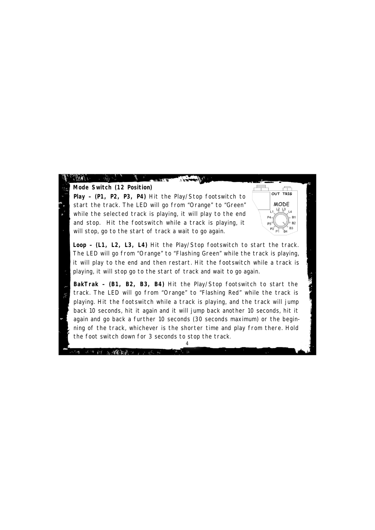**Mode Switch (12 Position)**

A)

**Play – (P1, P2, P3, P4)** Hit the Play/Stop footswitch to start the track. The LED will go from "Orange" to "Green" while the selected track is playing, it will play to the end and stop. Hit the footswitch while a track is playing, it will stop, go to the start of track a wait to go again.

 $\frac{1}{\sqrt{2}}\sum_{i=1}^{n} \frac{1}{\sqrt{2}}\sum_{i=1}^{n} \frac{1}{\sqrt{2}}\sum_{i=1}^{n} \frac{1}{\sqrt{2}}\sum_{i=1}^{n} \frac{1}{\sqrt{2}}\sum_{i=1}^{n} \frac{1}{\sqrt{2}}\sum_{i=1}^{n} \frac{1}{\sqrt{2}}\sum_{i=1}^{n} \frac{1}{\sqrt{2}}\sum_{i=1}^{n} \frac{1}{\sqrt{2}}\sum_{i=1}^{n} \frac{1}{\sqrt{2}}\sum_{i=1}^{n} \frac{1}{\sqrt{2}}\sum_{i=1}^{n}$ 

发,缓慢激进, p. p. of con-

OUT TRIG **MODE** ¦ ၊ မွ့ပွ<sub>3 ⊥4</sub> **P3** Ř4

**Loop – (L1, L2, L3, L4)** Hit the Play/Stop footswitch to start the track. The LED will go from "Orange" to "Flashing Green" while the track is playing, it will play to the end and then restart. Hit the footswitch while a track is playing, it will stop go to the start of track and wait to go again.

**BakTrak – (B1, B2, B3, B4)** Hit the Play/Stop footswitch to start the track. The LED will go from "Orange" to "Flashing Red" while the track is playing. Hit the footswitch while a track is playing, and the track will jump back 10 seconds, hit it again and it will jump back another 10 seconds, hit it again and go back a further 10 seconds (30 seconds maximum) or the beginning of the track, whichever is the shorter time and play from there. Hold the foot switch down for 3 seconds to stop the track.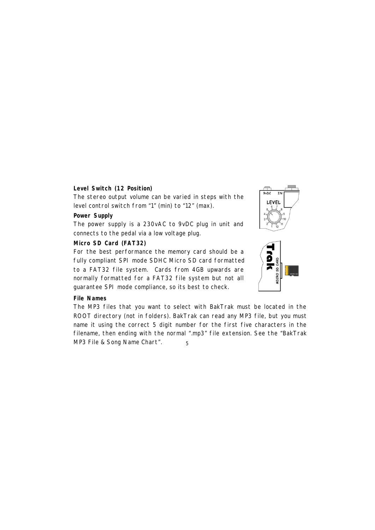# **Level Switch (12 Position)**

The stereo output volume can be varied in steps with the level control switch from "1" (min) to "12" (max).

# **Power Supply**

The power supply is a 230vAC to 9vDC plug in unit and connects to the pedal via a low voltage plug.

# **Micro SD Card (FAT32)**

For the best performance the memory card should be a fully compliant SPI mode SDHC Micro SD card formatted to a FAT32 file system. Cards from 4GB upwards are normally formatted for a FAT32 file system but not all guarantee SPI mode compliance, so its best to check.

## **File Names**

5 The MP3 files that you want to select with BakTrak must be located in the ROOT directory (not in folders). BakTrak can read any MP3 file, but you must name it using the correct 5 digit number for the first five characters in the filename, then ending with the normal ".mp3" file extension. See the "BakTrak MP3 File & Song Name Chart".

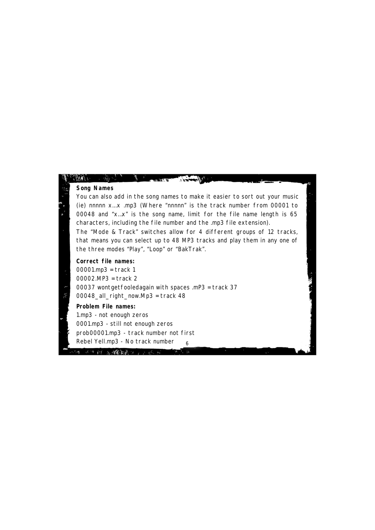# **Song Names**

You can also add in the song names to make it easier to sort out your music (ie) nnnnn x...x .mp3 (Where "nnnnn" is the track number from 00001 to 00048 and "x…x" is the song name, limit for the file name length is 65 characters, including the file number and the .mp3 file extension).

The "Mode & Track" switches allow for 4 different groups of 12 tracks, that means you can select up to 48 MP3 tracks and play them in any one of the three modes "Play", "Loop" or "BakTrak".

 $\mathbb{R}^{n}$ 

### **Correct file names:**

00001.mp3 = track 1 00002.MP3 = track 2 00037 wontgetfooledagain with spaces .mP3 = track 37 00048\_all\_right\_now.Mp3 = track 48

#### **Problem File names:**

Ä

6 1.mp3 - not enough zeros 0001.mp3 - still not enough zeros prob00001.mp3 - track number not first Rebel Yell.mp3 - No track number

平原縣 医螺旋菌性 经总额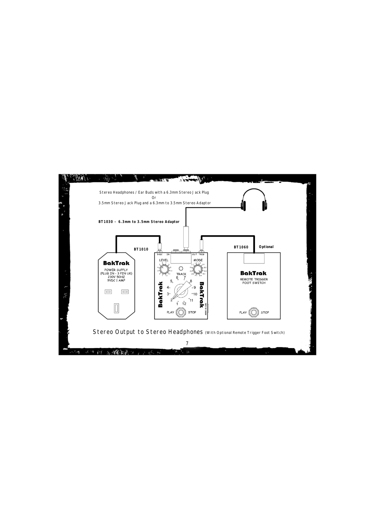

Stereo Output to Stereo Headphones (With Optional Remote Trigger Foot Switch)

7  $\mathbb{R}$ 

 $\overline{a}$  ,  $\overline{a}$  ,  $\overline{a}$  ,  $\overline{a}$  ,  $\overline{a}$  ,  $\overline{a}$  ,  $\overline{a}$  ,  $\overline{a}$  ,  $\overline{a}$  ,  $\overline{a}$  ,  $\overline{a}$  ,  $\overline{a}$  ,  $\overline{a}$  ,  $\overline{a}$  ,  $\overline{a}$  ,  $\overline{a}$  ,  $\overline{a}$  ,  $\overline{a}$  ,  $\overline{a}$  ,  $\overline{a}$  ,

三年 经 医螺旋镜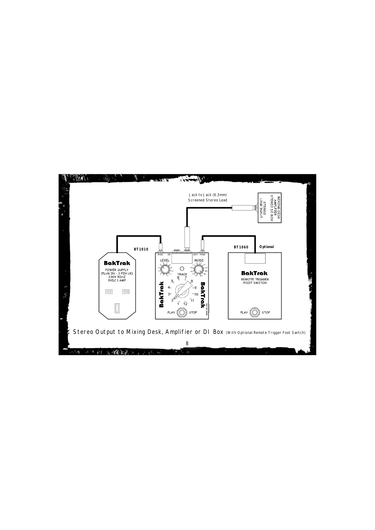

 $\mathbf{h}$  ,

1、健康·恩

 $\mathcal{L} \rightarrow \mathcal{R}$ 

 $\mathbb{R}$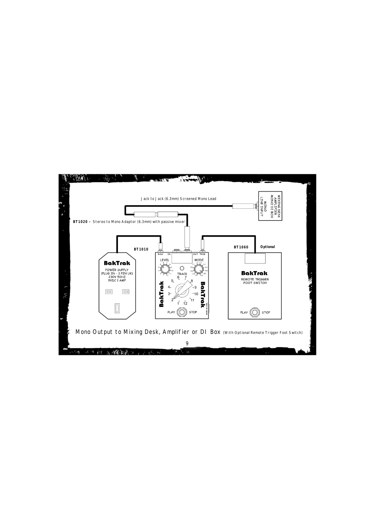

9

 $\mathbb{R}^2$ 

 $4.14.6$ 

 $\mathcal{L} \rightarrow \mathcal{R}$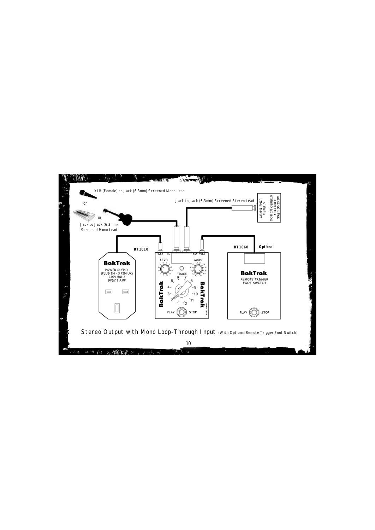

10  $\mathbb{R}^2$ 

深度 经人民保险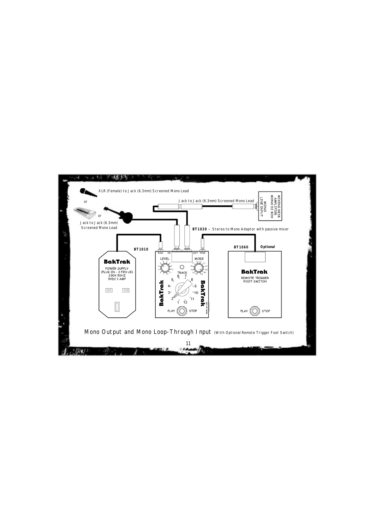

11 Mono Output and Mono Loop-Through Input (With Optional Remote Trigger Foot Switch)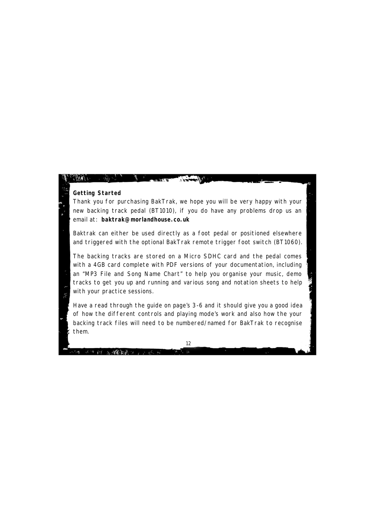#### **Getting Started**

Thank you for purchasing BakTrak, we hope you will be very happy with your new backing track pedal (BT1010), if you do have any problems drop us an email at: **baktrak@morlandhouse.co.uk**

Baktrak can either be used directly as a foot pedal or positioned elsewhere and triggered with the optional BakTrak remote trigger foot switch (BT1060).

The backing tracks are stored on a Micro SDHC card and the pedal comes with a 4GB card complete with PDF versions of your documentation, including an "MP3 File and Song Name Chart" to help you organise your music, demo tracks to get you up and running and various song and notation sheets to help with your practice sessions.

Have a read through the guide on page's 3-6 and it should give you a good idea of how the different controls and playing mode's work and also how the your backing track files will need to be numbered/named for BakTrak to recognise them.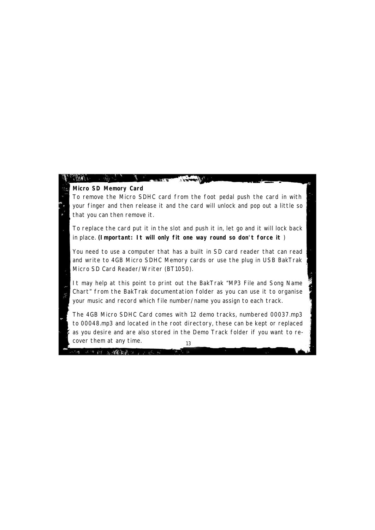# **Micro SD Memory Card**

就 在爆動影响 2015年10月

To remove the Micro SDHC card from the foot pedal push the card in with your finger and then release it and the card will unlock and pop out a little so that you can then remove it.

**FALLAR** 

To replace the card put it in the slot and push it in, let go and it will lock back in place. **(Important: It will only fit one way round so don't force it** )

You need to use a computer that has a built in SD card reader that can read and write to 4GB Micro SDHC Memory cards or use the plug in USB BakTrak Micro SD Card Reader/Writer (BT1050).

It may help at this point to print out the BakTrak "MP3 File and Song Name Chart" from the BakTrak documentation folder as you can use it to organise your music and record which file number/name you assign to each track.

13 The 4GB Micro SDHC Card comes with 12 demo tracks, numbered 00037.mp3 to 00048.mp3 and located in the root directory, these can be kept or replaced as you desire and are also stored in the Demo Track folder if you want to recover them at any time.

 $\mathbb{R}$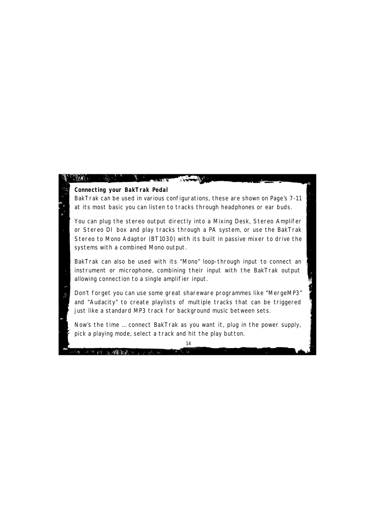#### **Connecting your BakTrak Pedal**

28张家说:

BakTrak can be used in various configurations, these are shown on Page's 7-11 at its most basic you can listen to tracks through headphones or ear buds.

You can plug the stereo output directly into a Mixing Desk, Stereo Amplifer or Stereo DI box and play tracks through a PA system, or use the BakTrak Stereo to Mono Adaptor (BT1030) with its built in passive mixer to drive the systems with a combined Mono output.

BakTrak can also be used with its "Mono" loop-through input to connect an instrument or microphone, combining their input with the BakTrak output allowing connection to a single amplifier input.

Don't forget you can use some great shareware programmes like "MergeMP3" and "Audacity" to create playlists of multiple tracks that can be triggered just like a standard MP3 track for background music between sets.

Now's the time … connect BakTrak as you want it, plug in the power supply, pick a playing mode, select a track and hit the play button.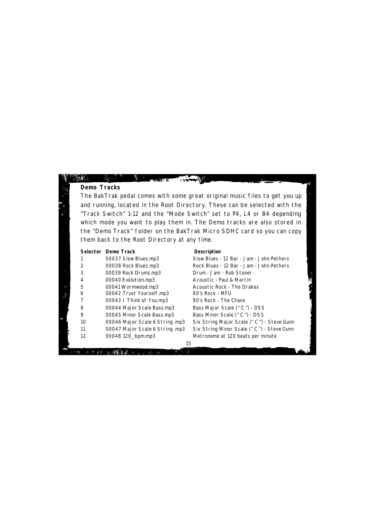#### **Demo Tracks**

The BakTrak pedal comes with some great original music files to get you up and running, located in the Root Directory. These can be selected with the "Track Switch" 1-12 and the "Mode Switch" set to P4, L4 or B4 depending which mode you want to play them in. The Demo tracks are also stored in the "Demo Track" folder on the BakTrak Micro SDHC card so you can copy them back to the Root Directory at any time.

#### **Selector Demo Track Description**

1 00037 Slow Blues.mp3 Slow Blues - 12 Bar - Jam - John Pethers 3 00039 Rock Drums.mp3 Drum - Jam - Rob Stoner 4 00040 Evolution.mp3 Acoustic - Paul & Martin 5 00041 Wormwood.mp3 Acoustic Rock - The Drakes 6 00042 Trust Yourself.mp3 80's Rock - MFU 7 00043 I Think of You.mp3 90's Rock - The Chase 8 00044 Major Scale Bass.mp3 Bass Major Scale (" C ") - DSS 9 00045 Minor Scale Bass.mp3 Bass Minor Scale (" C ") - DSS 12 00048 120\_bpm.mp3 Metronome at 120 beats per minute

2 00038 Rock Blues.mp3 Rock Blues - 12 Bar - Jam - John Pethers 10 00046 Major Scale 6 String .mp3 Six String Major Scale (" C ") - Steve Gunn 11 00047 Major Scale 6 String .mp3 Six String Minor Scale (" C ") - Steve Gunn